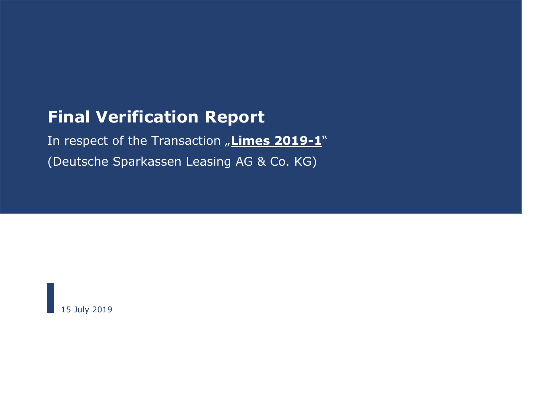# **Final Verification Report**

In respect of the Transaction "Limes 2019-1" (Deutsche Sparkassen Leasing AG & Co. KG)

15 July 2019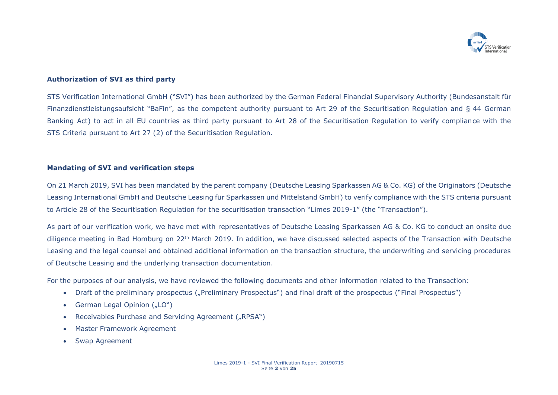

## **Authorization of SVI as third party**

STS Verification International GmbH ("SVI") has been authorized by the German Federal Financial Supervisory Authority (Bundesanstalt für Finanzdienstleistungsaufsicht "BaFin", as the competent authority pursuant to Art 29 of the Securitisation Regulation and § 44 German Banking Act) to act in all EU countries as third party pursuant to Art 28 of the Securitisation Regulation to verify compliance with the STS Criteria pursuant to Art 27 (2) of the Securitisation Regulation.

#### **Mandating of SVI and verification steps**

On 21 March 2019, SVI has been mandated by the parent company (Deutsche Leasing Sparkassen AG & Co. KG) of the Originators (Deutsche Leasing International GmbH and Deutsche Leasing für Sparkassen und Mittelstand GmbH) to verify compliance with the STS criteria pursuant to Article 28 of the Securitisation Regulation for the securitisation transaction "Limes 2019-1" (the "Transaction").

As part of our verification work, we have met with representatives of Deutsche Leasing Sparkassen AG & Co. KG to conduct an onsite due diligence meeting in Bad Homburg on 22<sup>th</sup> March 2019. In addition, we have discussed selected aspects of the Transaction with Deutsche Leasing and the legal counsel and obtained additional information on the transaction structure, the underwriting and servicing procedures of Deutsche Leasing and the underlying transaction documentation.

For the purposes of our analysis, we have reviewed the following documents and other information related to the Transaction:

- Draft of the preliminary prospectus ("Preliminary Prospectus") and final draft of the prospectus ("Final Prospectus")
- German Legal Opinion ("LO")
- Receivables Purchase and Servicing Agreement ("RPSA")
- Master Framework Agreement
- Swap Agreement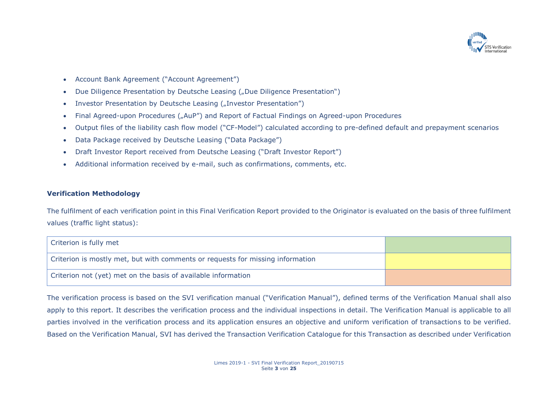

- Account Bank Agreement ("Account Agreement")
- Due Diligence Presentation by Deutsche Leasing ("Due Diligence Presentation")
- Investor Presentation by Deutsche Leasing ("Investor Presentation")
- Final Agreed-upon Procedures ("AuP") and Report of Factual Findings on Agreed-upon Procedures
- Output files of the liability cash flow model ("CF-Model") calculated according to pre-defined default and prepayment scenarios
- Data Package received by Deutsche Leasing ("Data Package")
- Draft Investor Report received from Deutsche Leasing ("Draft Investor Report")
- Additional information received by e-mail, such as confirmations, comments, etc.

## **Verification Methodology**

The fulfilment of each verification point in this Final Verification Report provided to the Originator is evaluated on the basis of three fulfilment values (traffic light status):

| Criterion is fully met                                                         |  |
|--------------------------------------------------------------------------------|--|
| Criterion is mostly met, but with comments or requests for missing information |  |
| Criterion not (yet) met on the basis of available information                  |  |

The verification process is based on the SVI verification manual ("Verification Manual"), defined terms of the Verification Manual shall also apply to this report. It describes the verification process and the individual inspections in detail. The Verification Manual is applicable to all parties involved in the verification process and its application ensures an objective and uniform verification of transactions to be verified. Based on the Verification Manual, SVI has derived the Transaction Verification Catalogue for this Transaction as described under Verification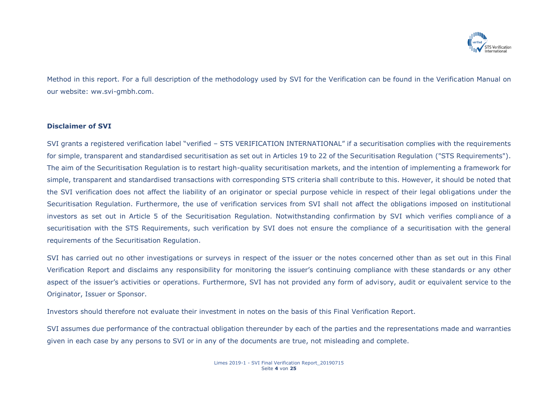

Method in this report. For a full description of the methodology used by SVI for the Verification can be found in the Verification Manual on our website: ww.svi-gmbh.com.

### **Disclaimer of SVI**

SVI grants a registered verification label "verified – STS VERIFICATION INTERNATIONAL" if a securitisation complies with the requirements for simple, transparent and standardised securitisation as set out in Articles 19 to 22 of the Securitisation Regulation ("STS Requirements"). The aim of the Securitisation Regulation is to restart high-quality securitisation markets, and the intention of implementing a framework for simple, transparent and standardised transactions with corresponding STS criteria shall contribute to this. However, it should be noted that the SVI verification does not affect the liability of an originator or special purpose vehicle in respect of their legal obligations under the Securitisation Regulation. Furthermore, the use of verification services from SVI shall not affect the obligations imposed on institutional investors as set out in Article 5 of the Securitisation Regulation. Notwithstanding confirmation by SVI which verifies compliance of a securitisation with the STS Requirements, such verification by SVI does not ensure the compliance of a securitisation with the general requirements of the Securitisation Regulation.

SVI has carried out no other investigations or surveys in respect of the issuer or the notes concerned other than as set out in this Final Verification Report and disclaims any responsibility for monitoring the issuer's continuing compliance with these standards or any other aspect of the issuer's activities or operations. Furthermore, SVI has not provided any form of advisory, audit or equivalent service to the Originator, Issuer or Sponsor.

Investors should therefore not evaluate their investment in notes on the basis of this Final Verification Report.

SVI assumes due performance of the contractual obligation thereunder by each of the parties and the representations made and warranties given in each case by any persons to SVI or in any of the documents are true, not misleading and complete.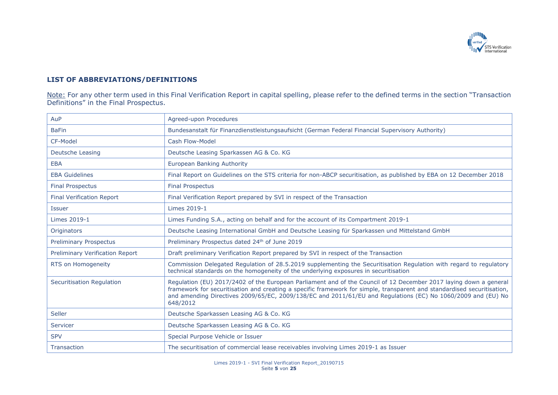

# **LIST OF ABBREVIATIONS/DEFINITIONS**

Note: For any other term used in this Final Verification Report in capital spelling, please refer to the defined terms in the section "Transaction" Definitions" in the Final Prospectus.

| AuP                              | Agreed-upon Procedures                                                                                                                                                                                                                                                                                                                                                   |
|----------------------------------|--------------------------------------------------------------------------------------------------------------------------------------------------------------------------------------------------------------------------------------------------------------------------------------------------------------------------------------------------------------------------|
| <b>BaFin</b>                     | Bundesanstalt für Finanzdienstleistungsaufsicht (German Federal Financial Supervisory Authority)                                                                                                                                                                                                                                                                         |
| CF-Model                         | Cash Flow-Model                                                                                                                                                                                                                                                                                                                                                          |
| <b>Deutsche Leasing</b>          | Deutsche Leasing Sparkassen AG & Co. KG                                                                                                                                                                                                                                                                                                                                  |
| <b>EBA</b>                       | European Banking Authority                                                                                                                                                                                                                                                                                                                                               |
| <b>EBA Guidelines</b>            | Final Report on Guidelines on the STS criteria for non-ABCP securitisation, as published by EBA on 12 December 2018                                                                                                                                                                                                                                                      |
| <b>Final Prospectus</b>          | <b>Final Prospectus</b>                                                                                                                                                                                                                                                                                                                                                  |
| <b>Final Verification Report</b> | Final Verification Report prepared by SVI in respect of the Transaction                                                                                                                                                                                                                                                                                                  |
| <b>Issuer</b>                    | Limes 2019-1                                                                                                                                                                                                                                                                                                                                                             |
| Limes 2019-1                     | Limes Funding S.A., acting on behalf and for the account of its Compartment 2019-1                                                                                                                                                                                                                                                                                       |
| <b>Originators</b>               | Deutsche Leasing International GmbH and Deutsche Leasing für Sparkassen und Mittelstand GmbH                                                                                                                                                                                                                                                                             |
| <b>Preliminary Prospectus</b>    | Preliminary Prospectus dated 24 <sup>th</sup> of June 2019                                                                                                                                                                                                                                                                                                               |
| Preliminary Verification Report  | Draft preliminary Verification Report prepared by SVI in respect of the Transaction                                                                                                                                                                                                                                                                                      |
| RTS on Homogeneity               | Commission Delegated Regulation of 28.5.2019 supplementing the Securitisation Regulation with regard to regulatory<br>technical standards on the homogeneity of the underlying exposures in securitisation                                                                                                                                                               |
| Securitisation Regulation        | Regulation (EU) 2017/2402 of the European Parliament and of the Council of 12 December 2017 laying down a general<br>framework for securitisation and creating a specific framework for simple, transparent and standardised securitisation,<br>and amending Directives 2009/65/EC, 2009/138/EC and 2011/61/EU and Regulations (EC) No 1060/2009 and (EU) No<br>648/2012 |
| Seller                           | Deutsche Sparkassen Leasing AG & Co. KG                                                                                                                                                                                                                                                                                                                                  |
| Servicer                         | Deutsche Sparkassen Leasing AG & Co. KG                                                                                                                                                                                                                                                                                                                                  |
| <b>SPV</b>                       | Special Purpose Vehicle or Issuer                                                                                                                                                                                                                                                                                                                                        |
| Transaction                      | The securitisation of commercial lease receivables involving Limes 2019-1 as Issuer                                                                                                                                                                                                                                                                                      |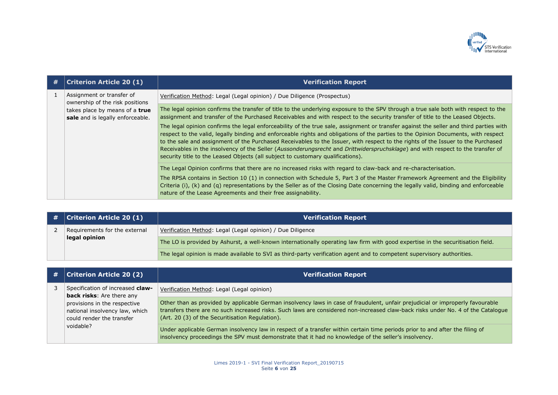

| # | <b>Criterion Article 20 (1)</b>                                    | <b>Verification Report</b>                                                                                                                                                                                                                                                                                                                                                                                                                                                                                                                                                                                                             |
|---|--------------------------------------------------------------------|----------------------------------------------------------------------------------------------------------------------------------------------------------------------------------------------------------------------------------------------------------------------------------------------------------------------------------------------------------------------------------------------------------------------------------------------------------------------------------------------------------------------------------------------------------------------------------------------------------------------------------------|
|   | Assignment or transfer of<br>ownership of the risk positions       | Verification Method: Legal (Legal opinion) / Due Diligence (Prospectus)                                                                                                                                                                                                                                                                                                                                                                                                                                                                                                                                                                |
|   | takes place by means of a true<br>sale and is legally enforceable. | The legal opinion confirms the transfer of title to the underlying exposure to the SPV through a true sale both with respect to the<br>assignment and transfer of the Purchased Receivables and with respect to the security transfer of title to the Leased Objects.                                                                                                                                                                                                                                                                                                                                                                  |
|   |                                                                    | The legal opinion confirms the legal enforceability of the true sale, assignment or transfer against the seller and third parties with<br>respect to the valid, legally binding and enforceable rights and obligations of the parties to the Opinion Documents, with respect<br>to the sale and assignment of the Purchased Receivables to the Issuer, with respect to the rights of the Issuer to the Purchased<br>Receivables in the insolvency of the Seller (Aussonderungsrecht and Drittwiderspruchsklage) and with respect to the transfer of<br>security title to the Leased Objects (all subject to customary qualifications). |
|   |                                                                    | The Legal Opinion confirms that there are no increased risks with regard to claw-back and re-characterisation.<br>The RPSA contains in Section 10 (1) in connection with Schedule 5, Part 3 of the Master Framework Agreement and the Eligibility<br>Criteria (i), (k) and (q) representations by the Seller as of the Closing Date concerning the legally valid, binding and enforceable<br>nature of the Lease Agreements and their free assignability.                                                                                                                                                                              |

| # | <b>Criterion Article 20 (1)</b> | <b>Verification Report</b>                                                                                                      |
|---|---------------------------------|---------------------------------------------------------------------------------------------------------------------------------|
|   | Requirements for the external   | Verification Method: Legal (Legal opinion) / Due Diligence                                                                      |
|   | legal opinion                   | The LO is provided by Ashurst, a well-known internationally operating law firm with good expertise in the securitisation field. |
|   |                                 | The legal opinion is made available to SVI as third-party verification agent and to competent supervisory authorities.          |

| # | <b>Criterion Article 20 (2)</b>                                                                          | <b>Verification Report</b>                                                                                                                                                                                                                                                                                            |
|---|----------------------------------------------------------------------------------------------------------|-----------------------------------------------------------------------------------------------------------------------------------------------------------------------------------------------------------------------------------------------------------------------------------------------------------------------|
|   | Specification of increased claw-<br><b>back risks:</b> Are there any                                     | Verification Method: Legal (Legal opinion)                                                                                                                                                                                                                                                                            |
|   | provisions in the respective<br>national insolvency law, which<br>could render the transfer<br>voidable? | Other than as provided by applicable German insolvency laws in case of fraudulent, unfair prejudicial or improperly favourable<br>transfers there are no such increased risks. Such laws are considered non-increased claw-back risks under No. 4 of the Catalogue<br>(Art. 20 (3) of the Securitisation Regulation). |
|   |                                                                                                          | Under applicable German insolvency law in respect of a transfer within certain time periods prior to and after the filing of<br>insolvency proceedings the SPV must demonstrate that it had no knowledge of the seller's insolvency.                                                                                  |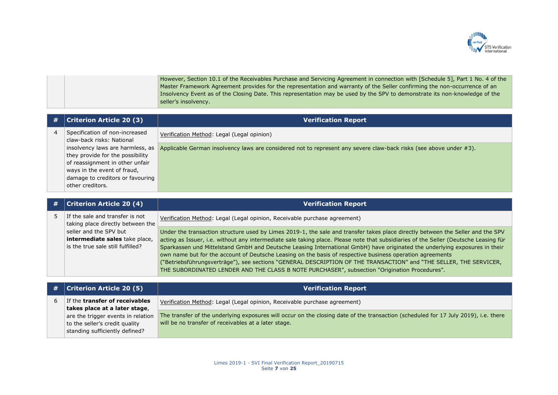

However, Section 10.1 of the Receivables Purchase and Servicing Agreement in connection with [Schedule 5], Part 1 No. 4 of the Master Framework Agreement provides for the representation and warranty of the Seller confirming the non-occurrence of an Insolvency Event as of the Closing Date. This representation may be used by the SPV to demonstrate its non-knowledge of the seller's insolvency.

| # | <b>Criterion Article 20 (3)</b>                                                                                                                                                                | <b>Verification Report</b>                                                                                         |
|---|------------------------------------------------------------------------------------------------------------------------------------------------------------------------------------------------|--------------------------------------------------------------------------------------------------------------------|
| 4 | Specification of non-increased<br>claw-back risks: National                                                                                                                                    | Verification Method: Legal (Legal opinion)                                                                         |
|   | insolvency laws are harmless, as<br>they provide for the possibility<br>of reassignment in other unfair<br>ways in the event of fraud,<br>damage to creditors or favouring<br>other creditors. | Applicable German insolvency laws are considered not to represent any severe claw-back risks (see above under #3). |

| # | <b>Criterion Article 20 (4)</b>                                                               | <b>Verification Report</b>                                                                                                                                                                                                                                                                                                                                                                                                                                                                                                                                                                                                                                                                                                                |
|---|-----------------------------------------------------------------------------------------------|-------------------------------------------------------------------------------------------------------------------------------------------------------------------------------------------------------------------------------------------------------------------------------------------------------------------------------------------------------------------------------------------------------------------------------------------------------------------------------------------------------------------------------------------------------------------------------------------------------------------------------------------------------------------------------------------------------------------------------------------|
|   | If the sale and transfer is not<br>taking place directly between the                          | Verification Method: Legal (Legal opinion, Receivable purchase agreement)                                                                                                                                                                                                                                                                                                                                                                                                                                                                                                                                                                                                                                                                 |
|   | seller and the SPV but<br>intermediate sales take place,<br>is the true sale still fulfilled? | Under the transaction structure used by Limes 2019-1, the sale and transfer takes place directly between the Seller and the SPV<br>acting as Issuer, i.e. without any intermediate sale taking place. Please note that subsidiaries of the Seller (Deutsche Leasing für<br>Sparkassen und Mittelstand GmbH and Deutsche Leasing International GmbH) have originated the underlying exposures in their<br>own name but for the account of Deutsche Leasing on the basis of respective business operation agreements<br>("Betriebsführungsverträge"), see sections "GENERAL DESCRIPTION OF THE TRANSACTION" and "THE SELLER, THE SERVICER,<br>THE SUBORDINATED LENDER AND THE CLASS B NOTE PURCHASER", subsection "Origination Procedures". |

| # | <b>Criterion Article 20 (5)</b>                                        | <b>Verification Report</b>                                                                                                                                                                  |
|---|------------------------------------------------------------------------|---------------------------------------------------------------------------------------------------------------------------------------------------------------------------------------------|
|   | If the <b>transfer of receivables</b><br>takes place at a later stage, | Verification Method: Legal (Legal opinion, Receivable purchase agreement)                                                                                                                   |
|   | are the trigger events in relation<br>to the seller's credit quality   | The transfer of the underlying exposures will occur on the closing date of the transaction (scheduled for 17 July 2019), i.e. there<br>will be no transfer of receivables at a later stage. |
|   | standing sufficiently defined?                                         |                                                                                                                                                                                             |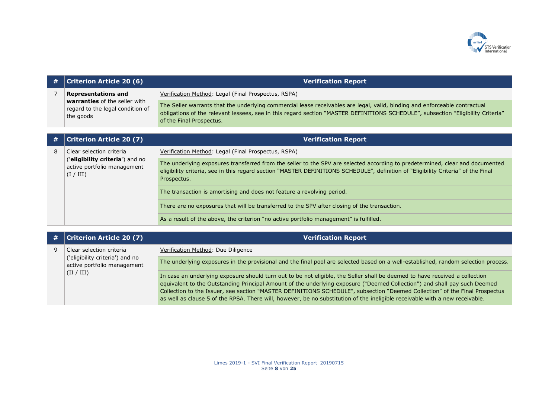

| #              | <b>Criterion Article 20 (6)</b>                                                                              | <b>Verification Report</b>                                                                                                                                                                                                                                                                 |
|----------------|--------------------------------------------------------------------------------------------------------------|--------------------------------------------------------------------------------------------------------------------------------------------------------------------------------------------------------------------------------------------------------------------------------------------|
| $\overline{7}$ | <b>Representations and</b><br>warranties of the seller with<br>regard to the legal condition of<br>the goods | Verification Method: Legal (Final Prospectus, RSPA)                                                                                                                                                                                                                                        |
|                |                                                                                                              | The Seller warrants that the underlying commercial lease receivables are legal, valid, binding and enforceable contractual<br>obligations of the relevant lessees, see in this regard section "MASTER DEFINITIONS SCHEDULE", subsection "Eligibility Criteria"<br>of the Final Prospectus. |
|                |                                                                                                              |                                                                                                                                                                                                                                                                                            |
| #              | <b>Criterion Article 20 (7)</b>                                                                              | <b>Verification Report</b>                                                                                                                                                                                                                                                                 |
| 8              | Clear selection criteria                                                                                     | Verification Method: Legal (Final Prospectus, RSPA)                                                                                                                                                                                                                                        |
|                | ('eligibility criteria') and no<br>active portfolio management<br>(I / III)                                  | The underlying exposures transferred from the seller to the SPV are selected according to predetermined, clear and documented<br>eligibility criteria, see in this regard section "MASTER DEFINITIONS SCHEDULE", definition of "Eligibility Criteria" of the Final<br>Prospectus.          |
|                |                                                                                                              | The transaction is amortising and does not feature a revolving period.                                                                                                                                                                                                                     |
|                |                                                                                                              | There are no exposures that will be transferred to the SPV after closing of the transaction.                                                                                                                                                                                               |
|                |                                                                                                              | As a result of the above, the criterion "no active portfolio management" is fulfilled.                                                                                                                                                                                                     |
|                |                                                                                                              |                                                                                                                                                                                                                                                                                            |
| #              | <b>Criterion Article 20 (7)</b>                                                                              | <b>Verification Report</b>                                                                                                                                                                                                                                                                 |
| 9              | Clear selection criteria<br>('eligibility criteria') and no<br>active portfolio management<br>(II / III)     | Verification Method: Due Diligence                                                                                                                                                                                                                                                         |
|                |                                                                                                              | The underlying exposures in the provisional and the final pool are selected based on a well-established, random selection process.                                                                                                                                                         |
|                |                                                                                                              | In appear on underlying avanouse about this was out to be not aligible, the Caller aboli he despend to bous reactived a sellection.                                                                                                                                                        |

In case an underlying exposure should turn out to be not eligible, the Seller shall be deemed to have received a collection equivalent to the Outstanding Principal Amount of the underlying exposure ("Deemed Collection") and shall pay such Deemed Collection to the Issuer, see section "MASTER DEFINITIONS SCHEDULE", subsection "Deemed Collection" of the Final Prospectus as well as clause 5 of the RPSA. There will, however, be no substitution of the ineligible receivable with a new receivable.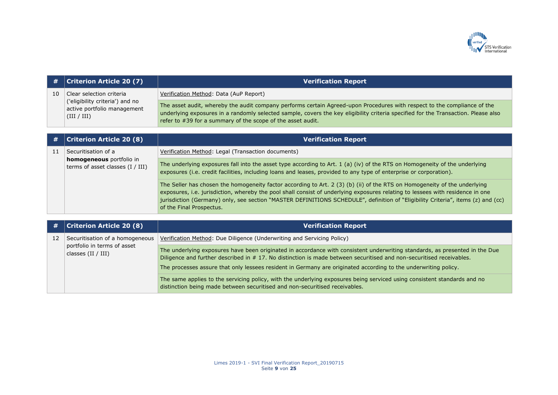

| #  | <b>Criterion Article 20 (7)</b>                                                                           | <b>Verification Report</b>                                                                                                                                                                                                                                                                                                                                                                                                  |
|----|-----------------------------------------------------------------------------------------------------------|-----------------------------------------------------------------------------------------------------------------------------------------------------------------------------------------------------------------------------------------------------------------------------------------------------------------------------------------------------------------------------------------------------------------------------|
| 10 | Clear selection criteria<br>('eligibility criteria') and no<br>active portfolio management<br>(III / III) | Verification Method: Data (AuP Report)                                                                                                                                                                                                                                                                                                                                                                                      |
|    |                                                                                                           | The asset audit, whereby the audit company performs certain Agreed-upon Procedures with respect to the compliance of the<br>underlying exposures in a randomly selected sample, covers the key eligibility criteria specified for the Transaction. Please also<br>refer to #39 for a summary of the scope of the asset audit.                                                                                               |
|    |                                                                                                           |                                                                                                                                                                                                                                                                                                                                                                                                                             |
| #  | <b>Criterion Article 20 (8)</b>                                                                           | <b>Verification Report</b>                                                                                                                                                                                                                                                                                                                                                                                                  |
| 11 | Securitisation of a<br><b>homogeneous</b> portfolio in<br>terms of asset classes $(I / III)$              | Verification Method: Legal (Transaction documents)                                                                                                                                                                                                                                                                                                                                                                          |
|    |                                                                                                           | The underlying exposures fall into the asset type according to Art. $1$ (a) (iv) of the RTS on Homogeneity of the underlying<br>exposures (i.e. credit facilities, including loans and leases, provided to any type of enterprise or corporation).                                                                                                                                                                          |
|    |                                                                                                           | The Seller has chosen the homogeneity factor according to Art. 2 (3) (b) (ii) of the RTS on Homogeneity of the underlying<br>exposures, i.e. jurisdiction, whereby the pool shall consist of underlying exposures relating to lessees with residence in one<br>jurisdiction (Germany) only, see section "MASTER DEFINITIONS SCHEDULE", definition of "Eligibility Criteria", items (z) and (cc)<br>of the Final Prospectus. |
|    | Automobile Austria AA (A)                                                                                 | Alexandre de la construcción de la construcción de la construcción de la construcción de la construcción de la                                                                                                                                                                                                                                                                                                              |

|    | $\#$   Criterion Article 20 (8)                                                      | <b>Verification Report</b>                                                                                                                                                                                                                         |
|----|--------------------------------------------------------------------------------------|----------------------------------------------------------------------------------------------------------------------------------------------------------------------------------------------------------------------------------------------------|
| 12 | Securitisation of a homogeneous<br>portfolio in terms of asset<br>classes (II / III) | Verification Method: Due Diligence (Underwriting and Servicing Policy)                                                                                                                                                                             |
|    |                                                                                      | The underlying exposures have been originated in accordance with consistent underwriting standards, as presented in the Due<br>Diligence and further described in #17. No distinction is made between securitised and non-securitised receivables. |
|    |                                                                                      | The processes assure that only lessees resident in Germany are originated according to the underwriting policy.                                                                                                                                    |
|    |                                                                                      | The same applies to the servicing policy, with the underlying exposures being serviced using consistent standards and no<br>distinction being made between securitised and non-securitised receivables.                                            |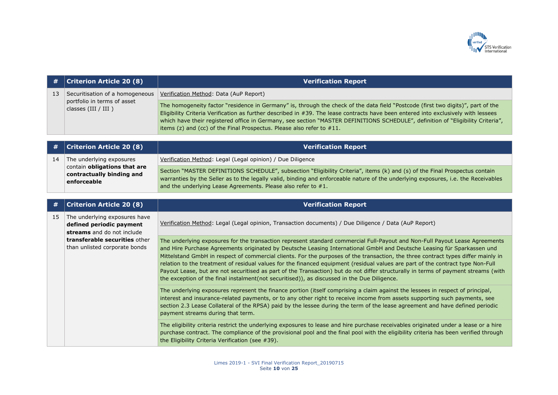

| #  | <b>Criterion Article 20 (8)</b>                                                                                                                           | <b>Verification Report</b>                                                                                                                                                                                                                                                                                                                                                                                                                                                                                                                                                                                                                                                                                                                                         |
|----|-----------------------------------------------------------------------------------------------------------------------------------------------------------|--------------------------------------------------------------------------------------------------------------------------------------------------------------------------------------------------------------------------------------------------------------------------------------------------------------------------------------------------------------------------------------------------------------------------------------------------------------------------------------------------------------------------------------------------------------------------------------------------------------------------------------------------------------------------------------------------------------------------------------------------------------------|
| 13 | Securitisation of a homogeneous<br>portfolio in terms of asset<br>classes (III / III )                                                                    | Verification Method: Data (AuP Report)                                                                                                                                                                                                                                                                                                                                                                                                                                                                                                                                                                                                                                                                                                                             |
|    |                                                                                                                                                           | The homogeneity factor "residence in Germany" is, through the check of the data field "Postcode (first two digits)", part of the<br>Eligibility Criteria Verification as further described in #39. The lease contracts have been entered into exclusively with lessees<br>which have their registered office in Germany, see section "MASTER DEFINITIONS SCHEDULE", definition of "Eligibility Criteria",<br>items (z) and (cc) of the Final Prospectus. Please also refer to #11.                                                                                                                                                                                                                                                                                 |
| #  | <b>Criterion Article 20 (8)</b>                                                                                                                           | <b>Verification Report</b>                                                                                                                                                                                                                                                                                                                                                                                                                                                                                                                                                                                                                                                                                                                                         |
|    |                                                                                                                                                           |                                                                                                                                                                                                                                                                                                                                                                                                                                                                                                                                                                                                                                                                                                                                                                    |
| 14 | The underlying exposures                                                                                                                                  | Verification Method: Legal (Legal opinion) / Due Diligence                                                                                                                                                                                                                                                                                                                                                                                                                                                                                                                                                                                                                                                                                                         |
|    | contain obligations that are<br>contractually binding and<br>enforceable                                                                                  | Section "MASTER DEFINITIONS SCHEDULE", subsection "Eligibility Criteria", items (k) and (s) of the Final Prospectus contain<br>warranties by the Seller as to the legally valid, binding and enforceable nature of the underlying exposures, i.e. the Receivables<br>and the underlying Lease Agreements. Please also refer to #1.                                                                                                                                                                                                                                                                                                                                                                                                                                 |
|    |                                                                                                                                                           |                                                                                                                                                                                                                                                                                                                                                                                                                                                                                                                                                                                                                                                                                                                                                                    |
| #  | <b>Criterion Article 20 (8)</b>                                                                                                                           | <b>Verification Report</b>                                                                                                                                                                                                                                                                                                                                                                                                                                                                                                                                                                                                                                                                                                                                         |
| 15 | The underlying exposures have<br>defined periodic payment<br>streams and do not include<br>transferable securities other<br>than unlisted corporate bonds | Verification Method: Legal (Legal opinion, Transaction documents) / Due Diligence / Data (AuP Report)                                                                                                                                                                                                                                                                                                                                                                                                                                                                                                                                                                                                                                                              |
|    |                                                                                                                                                           | The underlying exposures for the transaction represent standard commercial Full-Payout and Non-Full Payout Lease Agreements<br>and Hire Purchase Agreements originated by Deutsche Leasing International GmbH and Deutsche Leasing für Sparkassen und<br>Mittelstand GmbH in respect of commercial clients. For the purposes of the transaction, the three contract types differ mainly in<br>relation to the treatment of residual values for the financed equipment (residual values are part of the contract type Non-Full<br>Payout Lease, but are not securitised as part of the Transaction) but do not differ structurally in terms of payment streams (with<br>the exception of the final instalment(not securitised)), as discussed in the Due Diligence. |
|    |                                                                                                                                                           | The underlying exposures represent the finance portion (itself comprising a claim against the lessees in respect of principal,<br>interest and insurance-related payments, or to any other right to receive income from assets supporting such payments, see<br>section 2.3 Lease Collateral of the RPSA) paid by the lessee during the term of the lease agreement and have defined periodic<br>payment streams during that term.                                                                                                                                                                                                                                                                                                                                 |
|    |                                                                                                                                                           | The eligibility criteria restrict the underlying exposures to lease and hire purchase receivables originated under a lease or a hire<br>purchase contract. The compliance of the provisional pool and the final pool with the eligibility criteria has been verified through<br>the Eligibility Criteria Verification (see #39).                                                                                                                                                                                                                                                                                                                                                                                                                                   |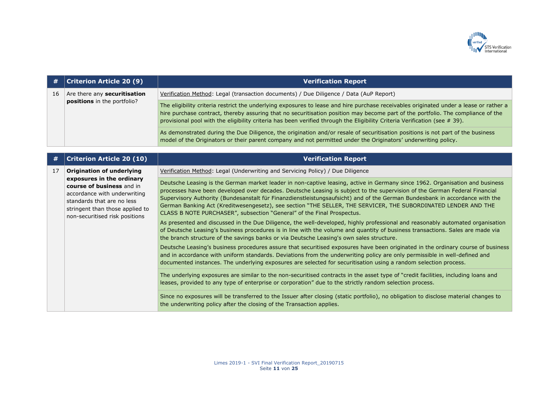

| #  | <b>Criterion Article 20 (9)</b>                                    | <b>Verification Report</b>                                                                                                                                                                                                                                                                                                                                                                                 |
|----|--------------------------------------------------------------------|------------------------------------------------------------------------------------------------------------------------------------------------------------------------------------------------------------------------------------------------------------------------------------------------------------------------------------------------------------------------------------------------------------|
| 16 | Are there any securitisation<br><b>positions</b> in the portfolio? | Verification Method: Legal (transaction documents) / Due Diligence / Data (AuP Report)                                                                                                                                                                                                                                                                                                                     |
|    |                                                                    | The eligibility criteria restrict the underlying exposures to lease and hire purchase receivables originated under a lease or rather a<br>hire purchase contract, thereby assuring that no securitisation position may become part of the portfolio. The compliance of the<br>provisional pool with the eligibility criteria has been verified through the Eligibility Criteria Verification (see $#$ 39). |
|    |                                                                    | As demonstrated during the Due Diligence, the origination and/or resale of securitisation positions is not part of the business<br>model of the Originators or their parent company and not permitted under the Originators' underwriting policy.                                                                                                                                                          |

| #  | <b>Criterion Article 20 (10)</b>                                                                                                                                                                                              | <b>Verification Report</b>                                                                                                                                                                                                                                                                                                                                                                                                                                                                                                                                                            |
|----|-------------------------------------------------------------------------------------------------------------------------------------------------------------------------------------------------------------------------------|---------------------------------------------------------------------------------------------------------------------------------------------------------------------------------------------------------------------------------------------------------------------------------------------------------------------------------------------------------------------------------------------------------------------------------------------------------------------------------------------------------------------------------------------------------------------------------------|
| 17 | <b>Origination of underlying</b><br>exposures in the ordinary<br>course of business and in<br>accordance with underwriting<br>standards that are no less<br>stringent than those applied to<br>non-securitised risk positions | Verification Method: Legal (Underwriting and Servicing Policy) / Due Diligence                                                                                                                                                                                                                                                                                                                                                                                                                                                                                                        |
|    |                                                                                                                                                                                                                               | Deutsche Leasing is the German market leader in non-captive leasing, active in Germany since 1962. Organisation and business<br>processes have been developed over decades. Deutsche Leasing is subject to the supervision of the German Federal Financial<br>Supervisory Authority (Bundesanstalt für Finanzdienstleistungsaufsicht) and of the German Bundesbank in accordance with the<br>German Banking Act (Kreditwesengesetz), see section "THE SELLER, THE SERVICER, THE SUBORDINATED LENDER AND THE<br>CLASS B NOTE PURCHASER", subsection "General" of the Final Prospectus. |
|    |                                                                                                                                                                                                                               | As presented and discussed in the Due Diligence, the well-developed, highly professional and reasonably automated organisation<br>of Deutsche Leasing's business procedures is in line with the volume and quantity of business transactions. Sales are made via<br>the branch structure of the savings banks or via Deutsche Leasing's own sales structure.                                                                                                                                                                                                                          |
|    |                                                                                                                                                                                                                               | Deutsche Leasing's business procedures assure that securitised exposures have been originated in the ordinary course of business<br>and in accordance with uniform standards. Deviations from the underwriting policy are only permissible in well-defined and<br>documented instances. The underlying exposures are selected for securitisation using a random selection process.                                                                                                                                                                                                    |
|    |                                                                                                                                                                                                                               | The underlying exposures are similar to the non-securitised contracts in the asset type of "credit facilities, including loans and<br>leases, provided to any type of enterprise or corporation" due to the strictly random selection process.                                                                                                                                                                                                                                                                                                                                        |
|    |                                                                                                                                                                                                                               | Since no exposures will be transferred to the Issuer after closing (static portfolio), no obligation to disclose material changes to<br>the underwriting policy after the closing of the Transaction applies.                                                                                                                                                                                                                                                                                                                                                                         |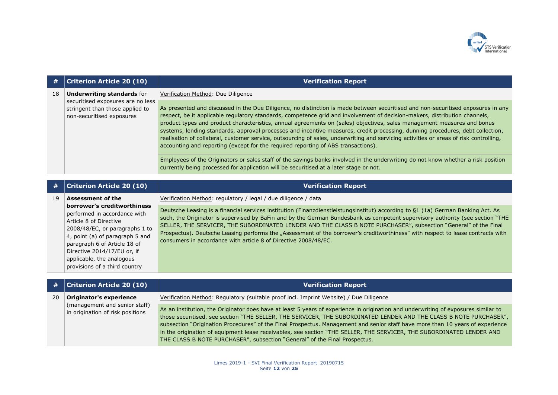

| #  | <b>Criterion Article 20 (10)</b>                                                                  | <b>Verification Report</b>                                                                                                                                                                                                                                                                                                                                                                                                                                                                                                                                                                                                                                                                                                                                                                                                                                                                                                                                                                |
|----|---------------------------------------------------------------------------------------------------|-------------------------------------------------------------------------------------------------------------------------------------------------------------------------------------------------------------------------------------------------------------------------------------------------------------------------------------------------------------------------------------------------------------------------------------------------------------------------------------------------------------------------------------------------------------------------------------------------------------------------------------------------------------------------------------------------------------------------------------------------------------------------------------------------------------------------------------------------------------------------------------------------------------------------------------------------------------------------------------------|
| 18 | <b>Underwriting standards for</b>                                                                 | Verification Method: Due Diligence                                                                                                                                                                                                                                                                                                                                                                                                                                                                                                                                                                                                                                                                                                                                                                                                                                                                                                                                                        |
|    | securitised exposures are no less<br>stringent than those applied to<br>non-securitised exposures | As presented and discussed in the Due Diligence, no distinction is made between securitised and non-securitised exposures in any<br>respect, be it applicable regulatory standards, competence grid and involvement of decision-makers, distribution channels,<br>product types and product characteristics, annual agreements on (sales) objectives, sales management measures and bonus<br>systems, lending standards, approval processes and incentive measures, credit processing, dunning procedures, debt collection,<br>realisation of collateral, customer service, outsourcing of sales, underwriting and servicing activities or areas of risk controlling,<br>accounting and reporting (except for the required reporting of ABS transactions).<br>Employees of the Originators or sales staff of the savings banks involved in the underwriting do not know whether a risk position<br>currently being processed for application will be securitised at a later stage or not. |

| #  | <b>Criterion Article 20 (10)</b>                                | <b>Verification Report</b>                                                                                                                                                                                                                        |
|----|-----------------------------------------------------------------|---------------------------------------------------------------------------------------------------------------------------------------------------------------------------------------------------------------------------------------------------|
| 19 | <b>Assessment of the</b><br>borrower's creditworthiness         | Verification Method: regulatory / legal / due diligence / data                                                                                                                                                                                    |
|    | performed in accordance with                                    | Deutsche Leasing is a financial services institution (Finanzdienstleistungsinstitut) according to §1 (1a) German Banking Act. As                                                                                                                  |
|    | Article 8 of Directive                                          | such, the Originator is supervised by BaFin and by the German Bundesbank as competent supervisory authority (see section "THE<br>SELLER, THE SERVICER, THE SUBORDINATED LENDER AND THE CLASS B NOTE PURCHASER", subsection "General" of the Final |
|    | 2008/48/EC, or paragraphs 1 to                                  | Prospectus). Deutsche Leasing performs the "Assessment of the borrower's creditworthiness" with respect to lease contracts with                                                                                                                   |
|    | 4, point (a) of paragraph 5 and<br>paragraph 6 of Article 18 of | consumers in accordance with article 8 of Directive 2008/48/EC.                                                                                                                                                                                   |
|    | Directive 2014/17/EU or, if                                     |                                                                                                                                                                                                                                                   |
|    | applicable, the analogous                                       |                                                                                                                                                                                                                                                   |
|    | provisions of a third country                                   |                                                                                                                                                                                                                                                   |

| #  | Criterion Article 20 (10)                                         | <b>Verification Report</b>                                                                                                                                                                                                                                                                                                                                                                                                                                                                                                                                                                        |
|----|-------------------------------------------------------------------|---------------------------------------------------------------------------------------------------------------------------------------------------------------------------------------------------------------------------------------------------------------------------------------------------------------------------------------------------------------------------------------------------------------------------------------------------------------------------------------------------------------------------------------------------------------------------------------------------|
| 20 | Originator's experience                                           | Verification Method: Regulatory (suitable proof incl. Imprint Website) / Due Diligence                                                                                                                                                                                                                                                                                                                                                                                                                                                                                                            |
|    | (management and senior staff)<br>in origination of risk positions | As an institution, the Originator does have at least 5 years of experience in origination and underwriting of exposures similar to<br>those securitised, see section "THE SELLER, THE SERVICER, THE SUBORDINATED LENDER AND THE CLASS B NOTE PURCHASER",<br>subsection "Origination Procedures" of the Final Prospectus. Management and senior staff have more than 10 years of experience<br>in the origination of equipment lease receivables, see section "THE SELLER, THE SERVICER, THE SUBORDINATED LENDER AND<br>THE CLASS B NOTE PURCHASER", subsection "General" of the Final Prospectus. |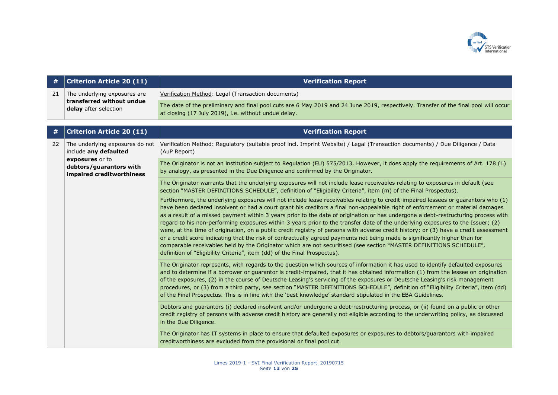

| #  | <b>Criterion Article 20 (11)</b>                                                   | <b>Verification Report</b>                                                                                                                                                                                                                                                                                                                                                                                                                                                                                                                                                                                                                                                                                                                                                                                                                                                                                                                                                                                                 |
|----|------------------------------------------------------------------------------------|----------------------------------------------------------------------------------------------------------------------------------------------------------------------------------------------------------------------------------------------------------------------------------------------------------------------------------------------------------------------------------------------------------------------------------------------------------------------------------------------------------------------------------------------------------------------------------------------------------------------------------------------------------------------------------------------------------------------------------------------------------------------------------------------------------------------------------------------------------------------------------------------------------------------------------------------------------------------------------------------------------------------------|
| 21 | The underlying exposures are<br>transferred without undue<br>delay after selection | Verification Method: Legal (Transaction documents)                                                                                                                                                                                                                                                                                                                                                                                                                                                                                                                                                                                                                                                                                                                                                                                                                                                                                                                                                                         |
|    |                                                                                    | The date of the preliminary and final pool cuts are 6 May 2019 and 24 June 2019, respectively. Transfer of the final pool will occur<br>at closing (17 July 2019), i.e. without undue delay.                                                                                                                                                                                                                                                                                                                                                                                                                                                                                                                                                                                                                                                                                                                                                                                                                               |
| #  | <b>Criterion Article 20 (11)</b>                                                   | <b>Verification Report</b>                                                                                                                                                                                                                                                                                                                                                                                                                                                                                                                                                                                                                                                                                                                                                                                                                                                                                                                                                                                                 |
| 22 | The underlying exposures do not<br>include any defaulted                           | Verification Method: Regulatory (suitable proof incl. Imprint Website) / Legal (Transaction documents) / Due Diligence / Data<br>(AuP Report)                                                                                                                                                                                                                                                                                                                                                                                                                                                                                                                                                                                                                                                                                                                                                                                                                                                                              |
|    | exposures or to<br>debtors/guarantors with<br>impaired creditworthiness            | The Originator is not an institution subject to Regulation (EU) 575/2013. However, it does apply the requirements of Art. 178 (1)<br>by analogy, as presented in the Due Diligence and confirmed by the Originator.                                                                                                                                                                                                                                                                                                                                                                                                                                                                                                                                                                                                                                                                                                                                                                                                        |
|    |                                                                                    | The Originator warrants that the underlying exposures will not include lease receivables relating to exposures in default (see<br>section "MASTER DEFINITIONS SCHEDULE", definition of "Eligibility Criteria", item (m) of the Final Prospectus).                                                                                                                                                                                                                                                                                                                                                                                                                                                                                                                                                                                                                                                                                                                                                                          |
|    |                                                                                    | Furthermore, the underlying exposures will not include lease receivables relating to credit-impaired lessees or guarantors who (1)<br>have been declared insolvent or had a court grant his creditors a final non-appealable right of enforcement or material damages<br>as a result of a missed payment within 3 years prior to the date of origination or has undergone a debt-restructuring process with<br>regard to his non-performing exposures within 3 years prior to the transfer date of the underlying exposures to the Issuer; (2)<br>were, at the time of origination, on a public credit registry of persons with adverse credit history; or (3) have a credit assessment<br>or a credit score indicating that the risk of contractually agreed payments not being made is significantly higher than for<br>comparable receivables held by the Originator which are not securitised (see section "MASTER DEFINITIONS SCHEDULE",<br>definition of "Eligibility Criteria", item (dd) of the Final Prospectus). |
|    |                                                                                    | The Originator represents, with regards to the question which sources of information it has used to identify defaulted exposures<br>and to determine if a borrower or guarantor is credit-impaired, that it has obtained information (1) from the lessee on origination<br>of the exposures, (2) in the course of Deutsche Leasing's servicing of the exposures or Deutsche Leasing's risk management<br>procedures, or (3) from a third party, see section "MASTER DEFINITIONS SCHEDULE", definition of "Eligibility Criteria", item (dd)<br>of the Final Prospectus. This is in line with the 'best knowledge' standard stipulated in the EBA Guidelines.                                                                                                                                                                                                                                                                                                                                                                |
|    |                                                                                    | Debtors and guarantors (i) declared insolvent and/or undergone a debt-restructuring process, or (ii) found on a public or other<br>credit registry of persons with adverse credit history are generally not eligible according to the underwriting policy, as discussed<br>in the Due Diligence.                                                                                                                                                                                                                                                                                                                                                                                                                                                                                                                                                                                                                                                                                                                           |
|    |                                                                                    | The Originator has IT systems in place to ensure that defaulted exposures or exposures to debtors/guarantors with impaired<br>creditworthiness are excluded from the provisional or final pool cut.                                                                                                                                                                                                                                                                                                                                                                                                                                                                                                                                                                                                                                                                                                                                                                                                                        |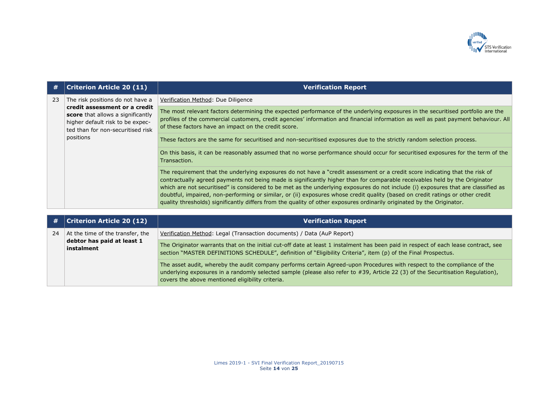

| #  | <b>Criterion Article 20 (11)</b>                                                                                                                         | <b>Verification Report</b>                                                                                                                                                                                                                                                                                                                                                                                                                                                                                                                                                                                                                                    |
|----|----------------------------------------------------------------------------------------------------------------------------------------------------------|---------------------------------------------------------------------------------------------------------------------------------------------------------------------------------------------------------------------------------------------------------------------------------------------------------------------------------------------------------------------------------------------------------------------------------------------------------------------------------------------------------------------------------------------------------------------------------------------------------------------------------------------------------------|
| 23 | The risk positions do not have a                                                                                                                         | Verification Method: Due Diligence                                                                                                                                                                                                                                                                                                                                                                                                                                                                                                                                                                                                                            |
|    | credit assessment or a credit<br>score that allows a significantly<br>higher default risk to be expec-<br>ted than for non-securitised risk<br>positions | The most relevant factors determining the expected performance of the underlying exposures in the securitised portfolio are the<br>profiles of the commercial customers, credit agencies' information and financial information as well as past payment behaviour. All<br>of these factors have an impact on the credit score.                                                                                                                                                                                                                                                                                                                                |
|    |                                                                                                                                                          | These factors are the same for securitised and non-securitised exposures due to the strictly random selection process.                                                                                                                                                                                                                                                                                                                                                                                                                                                                                                                                        |
|    |                                                                                                                                                          | On this basis, it can be reasonably assumed that no worse performance should occur for securitised exposures for the term of the<br>Transaction.                                                                                                                                                                                                                                                                                                                                                                                                                                                                                                              |
|    |                                                                                                                                                          | The requirement that the underlying exposures do not have a "credit assessment or a credit score indicating that the risk of<br>contractually agreed payments not being made is significantly higher than for comparable receivables held by the Originator<br>which are not securitised" is considered to be met as the underlying exposures do not include (i) exposures that are classified as<br>doubtful, impaired, non-performing or similar, or (ii) exposures whose credit quality (based on credit ratings or other credit<br>quality thresholds) significantly differs from the quality of other exposures ordinarily originated by the Originator. |

| #  | <b>Criterion Article 20 (12)</b>                                             | <b>Verification Report</b>                                                                                                                                                                                                                                                                                      |
|----|------------------------------------------------------------------------------|-----------------------------------------------------------------------------------------------------------------------------------------------------------------------------------------------------------------------------------------------------------------------------------------------------------------|
| 24 | At the time of the transfer, the<br>debtor has paid at least 1<br>instalment | Verification Method: Legal (Transaction documents) / Data (AuP Report)                                                                                                                                                                                                                                          |
|    |                                                                              | The Originator warrants that on the initial cut-off date at least 1 instalment has been paid in respect of each lease contract, see<br>section "MASTER DEFINITIONS SCHEDULE", definition of "Eligibility Criteria", item (p) of the Final Prospectus.                                                           |
|    |                                                                              | The asset audit, whereby the audit company performs certain Agreed-upon Procedures with respect to the compliance of the<br>underlying exposures in a randomly selected sample (please also refer to #39, Article 22 (3) of the Securitisation Regulation),<br>covers the above mentioned eligibility criteria. |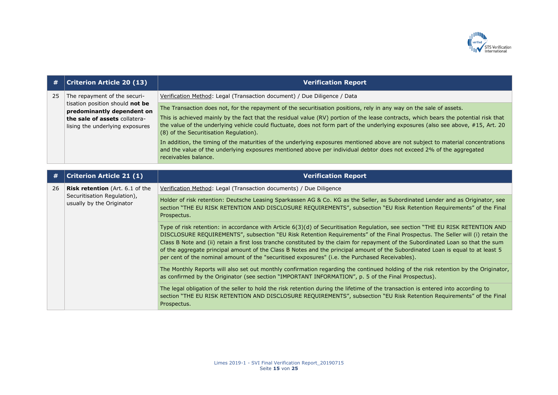

| #  | <b>Criterion Article 20 (13)</b>                                 | <b>Verification Report</b>                                                                                                                                                                                                                                                                                                                                                                                                                                                                                                                                                                                                                  |
|----|------------------------------------------------------------------|---------------------------------------------------------------------------------------------------------------------------------------------------------------------------------------------------------------------------------------------------------------------------------------------------------------------------------------------------------------------------------------------------------------------------------------------------------------------------------------------------------------------------------------------------------------------------------------------------------------------------------------------|
| 25 | The repayment of the securi-                                     | Verification Method: Legal (Transaction document) / Due Diligence / Data                                                                                                                                                                                                                                                                                                                                                                                                                                                                                                                                                                    |
|    | tisation position should not be<br>predominantly dependent on    | The Transaction does not, for the repayment of the securitisation positions, rely in any way on the sale of assets.                                                                                                                                                                                                                                                                                                                                                                                                                                                                                                                         |
|    | the sale of assets collatera-<br>lising the underlying exposures | This is achieved mainly by the fact that the residual value (RV) portion of the lease contracts, which bears the potential risk that<br>the value of the underlying vehicle could fluctuate, does not form part of the underlying exposures (also see above, #15, Art. 20<br>(8) of the Securitisation Regulation).                                                                                                                                                                                                                                                                                                                         |
|    |                                                                  | In addition, the timing of the maturities of the underlying exposures mentioned above are not subject to material concentrations<br>and the value of the underlying exposures mentioned above per individual debtor does not exceed 2% of the aggregated<br>receivables balance.                                                                                                                                                                                                                                                                                                                                                            |
|    |                                                                  |                                                                                                                                                                                                                                                                                                                                                                                                                                                                                                                                                                                                                                             |
| #  | <b>Criterion Article 21 (1)</b>                                  | <b>Verification Report</b>                                                                                                                                                                                                                                                                                                                                                                                                                                                                                                                                                                                                                  |
| 26 | <b>Risk retention</b> (Art. 6.1 of the                           | Verification Method: Legal (Transaction documents) / Due Diligence                                                                                                                                                                                                                                                                                                                                                                                                                                                                                                                                                                          |
|    | Securitisation Regulation),<br>usually by the Originator         | Holder of risk retention: Deutsche Leasing Sparkassen AG & Co. KG as the Seller, as Subordinated Lender and as Originator, see<br>section "THE EU RISK RETENTION AND DISCLOSURE REQUIREMENTS", subsection "EU Risk Retention Requirements" of the Final<br>Prospectus.                                                                                                                                                                                                                                                                                                                                                                      |
|    |                                                                  | Type of risk retention: in accordance with Article 6(3)(d) of Securitisation Regulation, see section "THE EU RISK RETENTION AND<br>DISCLOSURE REQUIREMENTS", subsection "EU Risk Retention Requirements" of the Final Prospectus. The Seller will (i) retain the<br>Class B Note and (ii) retain a first loss tranche constituted by the claim for repayment of the Subordinated Loan so that the sum<br>of the aggregate principal amount of the Class B Notes and the principal amount of the Subordinated Loan is equal to at least 5<br>per cent of the nominal amount of the "securitised exposures" (i.e. the Purchased Receivables). |
|    |                                                                  | The Monthly Reports will also set out monthly confirmation regarding the continued holding of the risk retention by the Originator,<br>as confirmed by the Originator (see section "IMPORTANT INFORMATION", p. 5 of the Final Prospectus).                                                                                                                                                                                                                                                                                                                                                                                                  |
|    |                                                                  | The legal obligation of the seller to hold the risk retention during the lifetime of the transaction is entered into according to<br>section "THE EU RISK RETENTION AND DISCLOSURE REQUIREMENTS", subsection "EU Risk Retention Requirements" of the Final<br>Prospectus.                                                                                                                                                                                                                                                                                                                                                                   |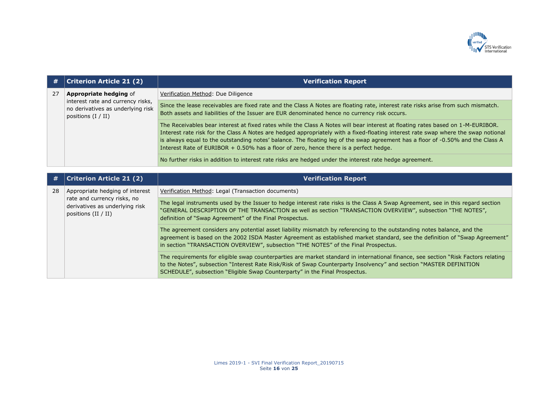

| #  | <b>Criterion Article 21 (2)</b>                                                                | <b>Verification Report</b>                                                                                                                                                                                                                                                                                                                                                                                                                                                                        |
|----|------------------------------------------------------------------------------------------------|---------------------------------------------------------------------------------------------------------------------------------------------------------------------------------------------------------------------------------------------------------------------------------------------------------------------------------------------------------------------------------------------------------------------------------------------------------------------------------------------------|
| 27 | <b>Appropriate hedging of</b>                                                                  | Verification Method: Due Diligence                                                                                                                                                                                                                                                                                                                                                                                                                                                                |
|    | interest rate and currency risks,<br>no derivatives as underlying risk<br>positions $(I / II)$ | Since the lease receivables are fixed rate and the Class A Notes are floating rate, interest rate risks arise from such mismatch.<br>Both assets and liabilities of the Issuer are EUR denominated hence no currency risk occurs.                                                                                                                                                                                                                                                                 |
|    |                                                                                                | The Receivables bear interest at fixed rates while the Class A Notes will bear interest at floating rates based on 1-M-EURIBOR.<br>Interest rate risk for the Class A Notes are hedged appropriately with a fixed-floating interest rate swap where the swap notional<br>is always equal to the outstanding notes' balance. The floating leg of the swap agreement has a floor of -0.50% and the Class A<br>Interest Rate of EURIBOR + 0.50% has a floor of zero, hence there is a perfect hedge. |
|    |                                                                                                | No further risks in addition to interest rate risks are hedged under the interest rate hedge agreement.                                                                                                                                                                                                                                                                                                                                                                                           |
|    |                                                                                                |                                                                                                                                                                                                                                                                                                                                                                                                                                                                                                   |
| #  | <b>Criterion Article 21 (2)</b>                                                                | <b>Verification Report</b>                                                                                                                                                                                                                                                                                                                                                                                                                                                                        |
| 28 | Appropriate hedging of interest                                                                | Verification Method: Legal (Transaction documents)                                                                                                                                                                                                                                                                                                                                                                                                                                                |
|    | rate and currency risks, no<br>derivatives as underlying risk<br>positions $(II / II)$         | The legal instruments used by the Issuer to hedge interest rate risks is the Class A Swap Agreement, see in this regard section<br>"GENERAL DESCRIPTION OF THE TRANSACTION as well as section "TRANSACTION OVERVIEW", subsection "THE NOTES",<br>definition of "Swap Agreement" of the Final Prospectus.                                                                                                                                                                                          |
|    |                                                                                                | The agreement considers any potential asset liability mismatch by referencing to the outstanding notes balance, and the<br>agreement is based on the 2002 ISDA Master Agreement as established market standard, see the definition of "Swap Agreement"<br>in section "TRANSACTION OVERVIEW", subsection "THE NOTES" of the Final Prospectus.                                                                                                                                                      |
|    |                                                                                                | The requirements for eligible swap counterparties are market standard in international finance, see section "Risk Factors relating<br>to the Notes", subsection "Interest Rate Risk/Risk of Swap Counterparty Insolvency" and section "MASTER DEFINITION<br>SCHEDULE", subsection "Eligible Swap Counterparty" in the Final Prospectus.                                                                                                                                                           |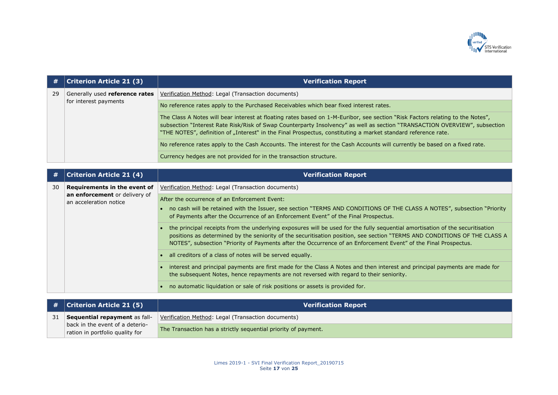

| #  | <b>Criterion Article 21 (3)</b>                         | <b>Verification Report</b>                                                                                                                                                                                                                                                                                                                                                    |  |
|----|---------------------------------------------------------|-------------------------------------------------------------------------------------------------------------------------------------------------------------------------------------------------------------------------------------------------------------------------------------------------------------------------------------------------------------------------------|--|
| 29 | Generally used reference rates<br>for interest payments | Verification Method: Legal (Transaction documents)                                                                                                                                                                                                                                                                                                                            |  |
|    |                                                         | No reference rates apply to the Purchased Receivables which bear fixed interest rates.                                                                                                                                                                                                                                                                                        |  |
|    |                                                         | The Class A Notes will bear interest at floating rates based on 1-M-Euribor, see section "Risk Factors relating to the Notes",<br>subsection "Interest Rate Risk/Risk of Swap Counterparty Insolvency" as well as section "TRANSACTION OVERVIEW", subsection<br>"THE NOTES", definition of "Interest" in the Final Prospectus, constituting a market standard reference rate. |  |
|    |                                                         | No reference rates apply to the Cash Accounts. The interest for the Cash Accounts will currently be based on a fixed rate.                                                                                                                                                                                                                                                    |  |
|    |                                                         | Currency hedges are not provided for in the transaction structure.                                                                                                                                                                                                                                                                                                            |  |
|    |                                                         |                                                                                                                                                                                                                                                                                                                                                                               |  |
| #  | <b>Criterion Article 21 (4)</b>                         | <b>Verification Report</b>                                                                                                                                                                                                                                                                                                                                                    |  |
| 30 | Requirements in the event of                            | Verification Method: Legal (Transaction documents)                                                                                                                                                                                                                                                                                                                            |  |
|    | an enforcement or delivery of<br>an acceleration notice | After the occurrence of an Enforcement Event:                                                                                                                                                                                                                                                                                                                                 |  |
|    |                                                         | • no cash will be retained with the Issuer, see section "TERMS AND CONDITIONS OF THE CLASS A NOTES", subsection "Priority<br>of Payments after the Occurrence of an Enforcement Event" of the Final Prospectus.                                                                                                                                                               |  |
|    |                                                         | the principal receipts from the underlying exposures will be used for the fully sequential amortisation of the securitisation<br>positions as determined by the seniority of the securitisation position, see section "TERMS AND CONDITIONS OF THE CLASS A<br>NOTES", subsection "Priority of Payments after the Occurrence of an Enforcement Event" of the Final Prospectus. |  |
|    |                                                         | all creditors of a class of notes will be served equally.                                                                                                                                                                                                                                                                                                                     |  |
|    |                                                         | interest and principal payments are first made for the Class A Notes and then interest and principal payments are made for<br>the subsequent Notes, hence repayments are not reversed with regard to their seniority.                                                                                                                                                         |  |
|    |                                                         | no automatic liquidation or sale of risk positions or assets is provided for.                                                                                                                                                                                                                                                                                                 |  |
|    |                                                         |                                                                                                                                                                                                                                                                                                                                                                               |  |
| #  | <b>Criterion Article 21 (5)</b>                         | <b>Verification Report</b>                                                                                                                                                                                                                                                                                                                                                    |  |

|    | $#$   Criterion Article 21 (5)                                     | <b>Verification Report</b>                                     |
|----|--------------------------------------------------------------------|----------------------------------------------------------------|
| 31 | Sequential repayment as fall-                                      | Verification Method: Legal (Transaction documents)             |
|    | back in the event of a deterio-<br>ration in portfolio quality for | The Transaction has a strictly sequential priority of payment. |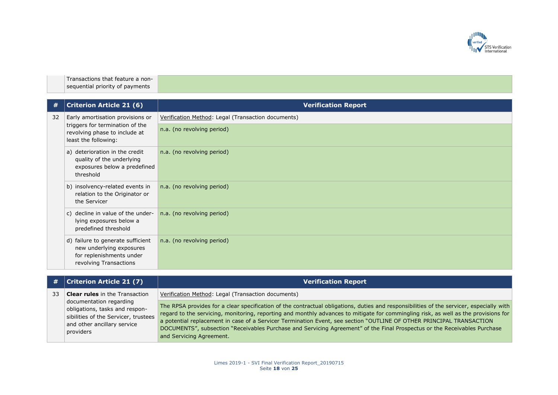

Transactions that feature a nonsequential priority of payments

| #  | <b>Criterion Article 21 (6)</b>                                                                                              | <b>Verification Report</b>                         |
|----|------------------------------------------------------------------------------------------------------------------------------|----------------------------------------------------|
| 32 | Early amortisation provisions or<br>triggers for termination of the<br>revolving phase to include at<br>least the following: | Verification Method: Legal (Transaction documents) |
|    |                                                                                                                              | n.a. (no revolving period)                         |
|    | a) deterioration in the credit<br>quality of the underlying<br>exposures below a predefined<br>threshold                     | n.a. (no revolving period)                         |
|    | b) insolvency-related events in<br>relation to the Originator or<br>the Servicer                                             | n.a. (no revolving period)                         |
|    | c) decline in value of the under-<br>lying exposures below a<br>predefined threshold                                         | n.a. (no revolving period)                         |
|    | d) failure to generate sufficient<br>new underlying exposures<br>for replenishments under<br>revolving Transactions          | n.a. (no revolving period)                         |

|    | #   Criterion Article 21 (7)                                                                                                                  | <b>Verification Report</b>                                                                                                                                                                                                                                                                                                                                                                                                                                                                                                                                       |
|----|-----------------------------------------------------------------------------------------------------------------------------------------------|------------------------------------------------------------------------------------------------------------------------------------------------------------------------------------------------------------------------------------------------------------------------------------------------------------------------------------------------------------------------------------------------------------------------------------------------------------------------------------------------------------------------------------------------------------------|
| 33 | <b>Clear rules</b> in the Transaction                                                                                                         | Verification Method: Legal (Transaction documents)                                                                                                                                                                                                                                                                                                                                                                                                                                                                                                               |
|    | documentation regarding<br>obligations, tasks and respon-<br>sibilities of the Servicer, trustees<br>and other ancillary service<br>providers | The RPSA provides for a clear specification of the contractual obligations, duties and responsibilities of the servicer, especially with<br>regard to the servicing, monitoring, reporting and monthly advances to mitigate for commingling risk, as well as the provisions for<br>a potential replacement in case of a Servicer Termination Event, see section "OUTLINE OF OTHER PRINCIPAL TRANSACTION<br>DOCUMENTS", subsection "Receivables Purchase and Servicing Agreement" of the Final Prospectus or the Receivables Purchase<br>and Servicing Agreement. |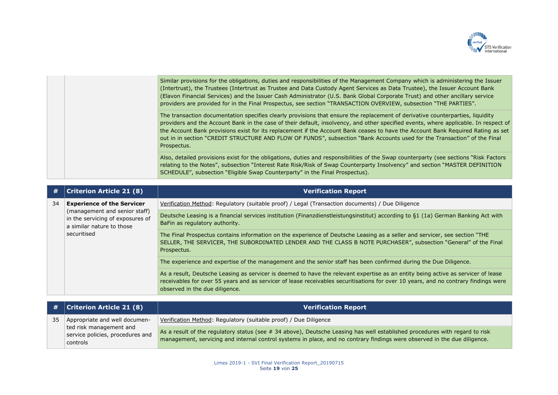

|  | Similar provisions for the obligations, duties and responsibilities of the Management Company which is administering the Issuer<br>(Intertrust), the Trustees (Intertrust as Trustee and Data Custody Agent Services as Data Trustee), the Issuer Account Bank<br>(Elavon Financial Services) and the Issuer Cash Administrator (U.S. Bank Global Corporate Trust) and other ancillary service<br>providers are provided for in the Final Prospectus, see section "TRANSACTION OVERVIEW, subsection "THE PARTIES".                                    |
|--|-------------------------------------------------------------------------------------------------------------------------------------------------------------------------------------------------------------------------------------------------------------------------------------------------------------------------------------------------------------------------------------------------------------------------------------------------------------------------------------------------------------------------------------------------------|
|  | The transaction documentation specifies clearly provisions that ensure the replacement of derivative counterparties, liquidity<br>providers and the Account Bank in the case of their default, insolvency, and other specified events, where applicable. In respect of<br>the Account Bank provisions exist for its replacement if the Account Bank ceases to have the Account Bank Required Rating as set<br>out in in section "CREDIT STRUCTURE AND FLOW OF FUNDS", subsection "Bank Accounts used for the Transaction" of the Final<br>Prospectus. |
|  | Also, detailed provisions exist for the obligations, duties and responsibilities of the Swap counterparty (see sections "Risk Factors")<br>relating to the Notes", subsection "Interest Rate Risk/Risk of Swap Counterparty Insolvency" and section "MASTER DEFINITION<br>SCHEDULE", subsection "Eligible Swap Counterparty" in the Final Prospectus).                                                                                                                                                                                                |

| #  | <b>Criterion Article 21 (8)</b>                                                                                                                    | <b>Verification Report</b>                                                                                                                                                                                                                                                                                 |
|----|----------------------------------------------------------------------------------------------------------------------------------------------------|------------------------------------------------------------------------------------------------------------------------------------------------------------------------------------------------------------------------------------------------------------------------------------------------------------|
| 34 | <b>Experience of the Servicer</b><br>(management and senior staff)<br>in the servicing of exposures of<br>a similar nature to those<br>securitised | Verification Method: Regulatory (suitable proof) / Legal (Transaction documents) / Due Diligence                                                                                                                                                                                                           |
|    |                                                                                                                                                    | Deutsche Leasing is a financial services institution (Finanzdienstleistungsinstitut) according to §1 (1a) German Banking Act with<br>BaFin as regulatory authority.                                                                                                                                        |
|    |                                                                                                                                                    | The Final Prospectus contains information on the experience of Deutsche Leasing as a seller and servicer, see section "THE<br>SELLER, THE SERVICER, THE SUBORDINATED LENDER AND THE CLASS B NOTE PURCHASER", subsection "General" of the Final<br>Prospectus.                                              |
|    |                                                                                                                                                    | The experience and expertise of the management and the senior staff has been confirmed during the Due Diligence.                                                                                                                                                                                           |
|    |                                                                                                                                                    | As a result, Deutsche Leasing as servicer is deemed to have the relevant expertise as an entity being active as servicer of lease<br>receivables for over 55 years and as servicer of lease receivables securitisations for over 10 years, and no contrary findings were<br>observed in the due diligence. |

|    | $\#$ $ $ Criterion Article 21 (8)                                                                        | <b>Verification Report</b>                                                                                                                                                                                                                               |
|----|----------------------------------------------------------------------------------------------------------|----------------------------------------------------------------------------------------------------------------------------------------------------------------------------------------------------------------------------------------------------------|
| 35 | Appropriate and well documen-<br>ted risk management and<br>service policies, procedures and<br>controls | Verification Method: Regulatory (suitable proof) / Due Diligence                                                                                                                                                                                         |
|    |                                                                                                          | As a result of the regulatory status (see # 34 above), Deutsche Leasing has well established procedures with regard to risk<br>management, servicing and internal control systems in place, and no contrary findings were observed in the due diligence. |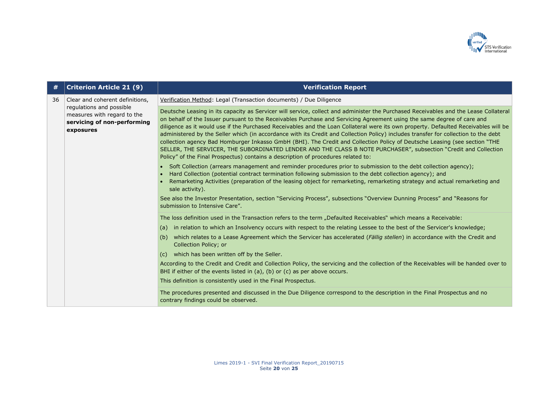

| #  | <b>Criterion Article 21 (9)</b>                                                                                                        | <b>Verification Report</b>                                                                                                                                                                                                                                                                                                                                                                                                                                                                                                                                                                                                                                                                                                                                                                                                                                                                                                                                                                                                                                                                                                                                                                                                                                                                                                                                                                                                          |
|----|----------------------------------------------------------------------------------------------------------------------------------------|-------------------------------------------------------------------------------------------------------------------------------------------------------------------------------------------------------------------------------------------------------------------------------------------------------------------------------------------------------------------------------------------------------------------------------------------------------------------------------------------------------------------------------------------------------------------------------------------------------------------------------------------------------------------------------------------------------------------------------------------------------------------------------------------------------------------------------------------------------------------------------------------------------------------------------------------------------------------------------------------------------------------------------------------------------------------------------------------------------------------------------------------------------------------------------------------------------------------------------------------------------------------------------------------------------------------------------------------------------------------------------------------------------------------------------------|
| 36 | Clear and coherent definitions,<br>regulations and possible<br>measures with regard to the<br>servicing of non-performing<br>exposures | Verification Method: Legal (Transaction documents) / Due Diligence                                                                                                                                                                                                                                                                                                                                                                                                                                                                                                                                                                                                                                                                                                                                                                                                                                                                                                                                                                                                                                                                                                                                                                                                                                                                                                                                                                  |
|    |                                                                                                                                        | Deutsche Leasing in its capacity as Servicer will service, collect and administer the Purchased Receivables and the Lease Collateral<br>on behalf of the Issuer pursuant to the Receivables Purchase and Servicing Agreement using the same degree of care and<br>diligence as it would use if the Purchased Receivables and the Loan Collateral were its own property. Defaulted Receivables will be<br>administered by the Seller which (in accordance with its Credit and Collection Policy) includes transfer for collection to the debt<br>collection agency Bad Homburger Inkasso GmbH (BHI). The Credit and Collection Policy of Deutsche Leasing (see section "THE<br>SELLER, THE SERVICER, THE SUBORDINATED LENDER AND THE CLASS B NOTE PURCHASER", subsection "Credit and Collection<br>Policy" of the Final Prospectus) contains a description of procedures related to:<br>• Soft Collection (arrears management and reminder procedures prior to submission to the debt collection agency);<br>Hard Collection (potential contract termination following submission to the debt collection agency); and<br>Remarketing Activities (preparation of the leasing object for remarketing, remarketing strategy and actual remarketing and<br>sale activity).<br>See also the Investor Presentation, section "Servicing Process", subsections "Overview Dunning Process" and "Reasons for<br>submission to Intensive Care". |
|    |                                                                                                                                        | The loss definition used in the Transaction refers to the term "Defaulted Receivables" which means a Receivable:                                                                                                                                                                                                                                                                                                                                                                                                                                                                                                                                                                                                                                                                                                                                                                                                                                                                                                                                                                                                                                                                                                                                                                                                                                                                                                                    |
|    |                                                                                                                                        | in relation to which an Insolvency occurs with respect to the relating Lessee to the best of the Servicer's knowledge;<br>(a)                                                                                                                                                                                                                                                                                                                                                                                                                                                                                                                                                                                                                                                                                                                                                                                                                                                                                                                                                                                                                                                                                                                                                                                                                                                                                                       |
|    |                                                                                                                                        | which relates to a Lease Agreement which the Servicer has accelerated (Fällig stellen) in accordance with the Credit and<br>(b)<br>Collection Policy; or                                                                                                                                                                                                                                                                                                                                                                                                                                                                                                                                                                                                                                                                                                                                                                                                                                                                                                                                                                                                                                                                                                                                                                                                                                                                            |
|    |                                                                                                                                        | which has been written off by the Seller.<br>(c)                                                                                                                                                                                                                                                                                                                                                                                                                                                                                                                                                                                                                                                                                                                                                                                                                                                                                                                                                                                                                                                                                                                                                                                                                                                                                                                                                                                    |
|    |                                                                                                                                        | According to the Credit and Credit and Collection Policy, the servicing and the collection of the Receivables will be handed over to<br>BHI if either of the events listed in $(a)$ , $(b)$ or $(c)$ as per above occurs.                                                                                                                                                                                                                                                                                                                                                                                                                                                                                                                                                                                                                                                                                                                                                                                                                                                                                                                                                                                                                                                                                                                                                                                                           |
|    |                                                                                                                                        | This definition is consistently used in the Final Prospectus.                                                                                                                                                                                                                                                                                                                                                                                                                                                                                                                                                                                                                                                                                                                                                                                                                                                                                                                                                                                                                                                                                                                                                                                                                                                                                                                                                                       |
|    |                                                                                                                                        | The procedures presented and discussed in the Due Diligence correspond to the description in the Final Prospectus and no<br>contrary findings could be observed.                                                                                                                                                                                                                                                                                                                                                                                                                                                                                                                                                                                                                                                                                                                                                                                                                                                                                                                                                                                                                                                                                                                                                                                                                                                                    |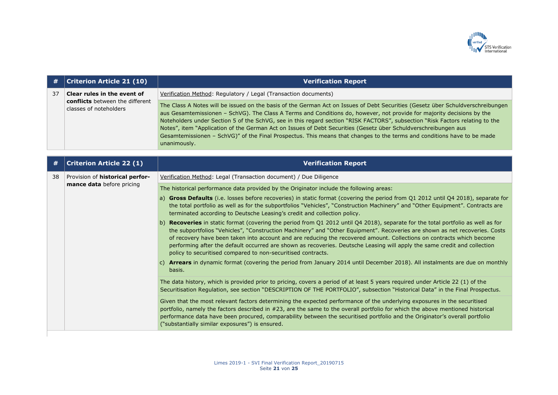

|    | <b>Criterion Article 21 (10)</b>                                                         | <b>Verification Report</b>                                                                                                                                                                                                                                                                                                                                                                                                                                                                                                                                                                                                                               |
|----|------------------------------------------------------------------------------------------|----------------------------------------------------------------------------------------------------------------------------------------------------------------------------------------------------------------------------------------------------------------------------------------------------------------------------------------------------------------------------------------------------------------------------------------------------------------------------------------------------------------------------------------------------------------------------------------------------------------------------------------------------------|
| 37 | Clear rules in the event of<br>conflicts between the different<br>classes of noteholders | Verification Method: Regulatory / Legal (Transaction documents)                                                                                                                                                                                                                                                                                                                                                                                                                                                                                                                                                                                          |
|    |                                                                                          | The Class A Notes will be issued on the basis of the German Act on Issues of Debt Securities (Gesetz über Schuldverschreibungen<br>aus Gesamtemissionen - SchVG). The Class A Terms and Conditions do, however, not provide for majority decisions by the<br>Noteholders under Section 5 of the SchVG, see in this regard section "RISK FACTORS", subsection "Risk Factors relating to the<br>Notes", item "Application of the German Act on Issues of Debt Securities (Gesetz über Schuldverschreibungen aus<br>Gesamtemissionen - SchVG)" of the Final Prospectus. This means that changes to the terms and conditions have to be made<br>unanimously. |
|    | <b>Criterion Article 22 (1)</b>                                                          | <b>Verification Report</b>                                                                                                                                                                                                                                                                                                                                                                                                                                                                                                                                                                                                                               |
| 38 | Provision of historical perfor-                                                          | Verification Method: Legal (Transaction document) / Due Diligence                                                                                                                                                                                                                                                                                                                                                                                                                                                                                                                                                                                        |
|    | mance data before pricing                                                                | The historical performance data provided by the Originator include the following areas:                                                                                                                                                                                                                                                                                                                                                                                                                                                                                                                                                                  |
|    |                                                                                          | a) Gross Defaults (i.e. losses before recoveries) in static format (covering the period from Q1 2012 until Q4 2018), separate for<br>the total portfolio as well as for the subportfolios "Vehicles", "Construction Machinery" and "Other Equipment". Contracts are<br>terminated according to Deutsche Leasing's credit and collection policy.                                                                                                                                                                                                                                                                                                          |
|    |                                                                                          | b) Recoveries in static format (covering the period from Q1 2012 until Q4 2018), separate for the total portfolio as well as for<br>the subportfolios "Vehicles", "Construction Machinery" and "Other Equipment". Recoveries are shown as net recoveries. Costs<br>of recovery have been taken into account and are reducing the recovered amount. Collections on contracts which become<br>performing after the default occurred are shown as recoveries. Deutsche Leasing will apply the same credit and collection<br>policy to securitised compared to non-securitised contracts.                                                                    |
|    |                                                                                          | c) Arrears in dynamic format (covering the period from January 2014 until December 2018). All instalments are due on monthly<br>basis.                                                                                                                                                                                                                                                                                                                                                                                                                                                                                                                   |
|    |                                                                                          | The data history, which is provided prior to pricing, covers a period of at least 5 years required under Article 22 (1) of the<br>Securitisation Regulation, see section "DESCRIPTION OF THE PORTFOLIO", subsection "Historical Data" in the Final Prospectus.                                                                                                                                                                                                                                                                                                                                                                                           |
|    |                                                                                          | Given that the most relevant factors determining the expected performance of the underlying exposures in the securitised<br>portfolio, namely the factors described in #23, are the same to the overall portfolio for which the above mentioned historical<br>performance data have been procured, comparability between the securitised portfolio and the Originator's overall portfolio<br>("substantially similar exposures") is ensured.                                                                                                                                                                                                             |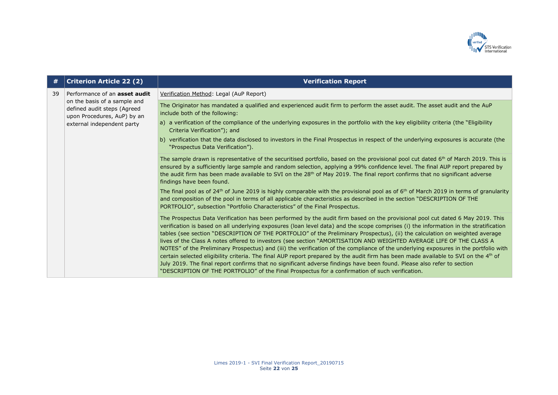

| #  | <b>Criterion Article 22 (2)</b>                                                            | <b>Verification Report</b>                                                                                                                                                                                                                                                                                                                                                                                                                                                                                                                                                                                                                                                                                                                                                                                                                                                                                                                                                                                                                             |
|----|--------------------------------------------------------------------------------------------|--------------------------------------------------------------------------------------------------------------------------------------------------------------------------------------------------------------------------------------------------------------------------------------------------------------------------------------------------------------------------------------------------------------------------------------------------------------------------------------------------------------------------------------------------------------------------------------------------------------------------------------------------------------------------------------------------------------------------------------------------------------------------------------------------------------------------------------------------------------------------------------------------------------------------------------------------------------------------------------------------------------------------------------------------------|
| 39 | Performance of an asset audit                                                              | Verification Method: Legal (AuP Report)                                                                                                                                                                                                                                                                                                                                                                                                                                                                                                                                                                                                                                                                                                                                                                                                                                                                                                                                                                                                                |
|    | on the basis of a sample and<br>defined audit steps (Agreed<br>upon Procedures, AuP) by an | The Originator has mandated a qualified and experienced audit firm to perform the asset audit. The asset audit and the AuP<br>include both of the following:                                                                                                                                                                                                                                                                                                                                                                                                                                                                                                                                                                                                                                                                                                                                                                                                                                                                                           |
|    | external independent party                                                                 | a) a verification of the compliance of the underlying exposures in the portfolio with the key eligibility criteria (the "Eligibility<br>Criteria Verification"); and                                                                                                                                                                                                                                                                                                                                                                                                                                                                                                                                                                                                                                                                                                                                                                                                                                                                                   |
|    |                                                                                            | b) verification that the data disclosed to investors in the Final Prospectus in respect of the underlying exposures is accurate (the<br>"Prospectus Data Verification").                                                                                                                                                                                                                                                                                                                                                                                                                                                                                                                                                                                                                                                                                                                                                                                                                                                                               |
|    |                                                                                            | The sample drawn is representative of the securitised portfolio, based on the provisional pool cut dated 6 <sup>th</sup> of March 2019. This is<br>ensured by a sufficiently large sample and random selection, applying a 99% confidence level. The final AUP report prepared by<br>the audit firm has been made available to SVI on the 28 <sup>th</sup> of May 2019. The final report confirms that no significant adverse<br>findings have been found.                                                                                                                                                                                                                                                                                                                                                                                                                                                                                                                                                                                             |
|    |                                                                                            | The final pool as of 24 <sup>th</sup> of June 2019 is highly comparable with the provisional pool as of 6 <sup>th</sup> of March 2019 in terms of granularity<br>and composition of the pool in terms of all applicable characteristics as described in the section "DESCRIPTION OF THE<br>PORTFOLIO", subsection "Portfolio Characteristics" of the Final Prospectus.                                                                                                                                                                                                                                                                                                                                                                                                                                                                                                                                                                                                                                                                                 |
|    |                                                                                            | The Prospectus Data Verification has been performed by the audit firm based on the provisional pool cut dated 6 May 2019. This<br>verification is based on all underlying exposures (loan level data) and the scope comprises (i) the information in the stratification<br>tables (see section "DESCRIPTION OF THE PORTFOLIO" of the Preliminary Prospectus), (ii) the calculation on weighted average<br>lives of the Class A notes offered to investors (see section "AMORTISATION AND WEIGHTED AVERAGE LIFE OF THE CLASS A<br>NOTES" of the Preliminary Prospectus) and (iii) the verification of the compliance of the underlying exposures in the portfolio with<br>certain selected eligibility criteria. The final AUP report prepared by the audit firm has been made available to SVI on the 4 <sup>th</sup> of<br>July 2019. The final report confirms that no significant adverse findings have been found. Please also refer to section<br>"DESCRIPTION OF THE PORTFOLIO" of the Final Prospectus for a confirmation of such verification. |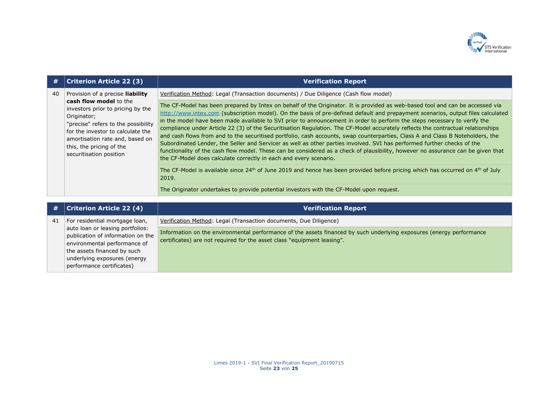

| #  | <b>Criterion Article 22 (3)</b>                                                                                                                                                                                                                                                      | <b>Verification Report</b>                                                                                                                                                                                                                                                                                                                                                                                                                                                                                                                                                                                                                                                                                                                                                                                                                                                                                                                                                                                                 |
|----|--------------------------------------------------------------------------------------------------------------------------------------------------------------------------------------------------------------------------------------------------------------------------------------|----------------------------------------------------------------------------------------------------------------------------------------------------------------------------------------------------------------------------------------------------------------------------------------------------------------------------------------------------------------------------------------------------------------------------------------------------------------------------------------------------------------------------------------------------------------------------------------------------------------------------------------------------------------------------------------------------------------------------------------------------------------------------------------------------------------------------------------------------------------------------------------------------------------------------------------------------------------------------------------------------------------------------|
| 40 | Provision of a precise liability<br>cash flow model to the<br>investors prior to pricing by the<br>Originator;<br>"precise" refers to the possibility<br>for the investor to calculate the<br>amortisation rate and, based on<br>this, the pricing of the<br>securitisation position | Verification Method: Legal (Transaction documents) / Due Diligence (Cash flow model)<br>The CF-Model has been prepared by Intex on behalf of the Originator. It is provided as web-based tool and can be accessed via<br>http://www.intex.com (subscription model). On the basis of pre-defined default and prepayment scenarios, output files calculated<br>in the model have been made available to SVI prior to announcement in order to perform the steps necessary to verify the<br>compliance under Article 22 (3) of the Securitisation Regulation. The CF-Model accurately reflects the contractual relationships<br>and cash flows from and to the securitised portfolio, cash accounts, swap counterparties, Class A and Class B Noteholders, the<br>Subordinated Lender, the Seller and Servicer as well as other parties involved. SVI has performed further checks of the<br>functionality of the cash flow model. These can be considered as a check of plausibility, however no assurance can be given that |
|    |                                                                                                                                                                                                                                                                                      | the CF-Model does calculate correctly in each and every scenario.<br>The CF-Model is available since $24^{th}$ of June 2019 and hence has been provided before pricing which has occurred on $4^{th}$ of July<br>2019.<br>The Originator undertakes to provide potential investors with the CF-Model upon request.                                                                                                                                                                                                                                                                                                                                                                                                                                                                                                                                                                                                                                                                                                         |

| #  | Criterion Article 22 (4)                                                                              | <b>Verification Report</b>                                                                                                                                                                      |
|----|-------------------------------------------------------------------------------------------------------|-------------------------------------------------------------------------------------------------------------------------------------------------------------------------------------------------|
| 41 | For residential mortgage loan,                                                                        | Verification Method: Legal (Transaction documents, Due Diligence)                                                                                                                               |
|    | auto loan or leasing portfolios:<br>publication of information on the<br>environmental performance of | Information on the environmental performance of the assets financed by such underlying exposures (energy performance<br>certificates) are not required for the asset class "equipment leasing". |
|    | the assets financed by such                                                                           |                                                                                                                                                                                                 |
|    | underlying exposures (energy                                                                          |                                                                                                                                                                                                 |
|    | performance certificates)                                                                             |                                                                                                                                                                                                 |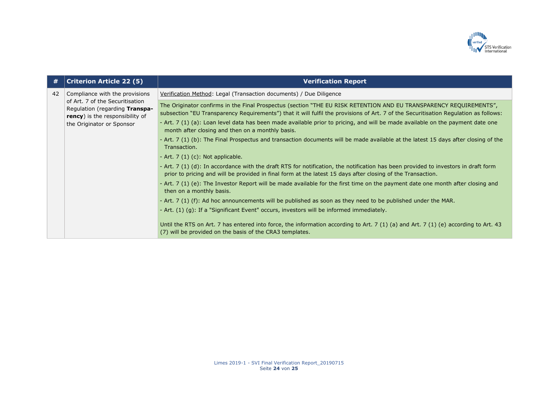

| #  | <b>Criterion Article 22 (5)</b>                                                                                                           | <b>Verification Report</b>                                                                                                                                                                                                                                                                                                                                                                                                                                                                                                                                                                                                                                                                                                                                                                                                                                                                                                                                                                                                                                                                                                                                                                                                                                                                                                                                                                                          |
|----|-------------------------------------------------------------------------------------------------------------------------------------------|---------------------------------------------------------------------------------------------------------------------------------------------------------------------------------------------------------------------------------------------------------------------------------------------------------------------------------------------------------------------------------------------------------------------------------------------------------------------------------------------------------------------------------------------------------------------------------------------------------------------------------------------------------------------------------------------------------------------------------------------------------------------------------------------------------------------------------------------------------------------------------------------------------------------------------------------------------------------------------------------------------------------------------------------------------------------------------------------------------------------------------------------------------------------------------------------------------------------------------------------------------------------------------------------------------------------------------------------------------------------------------------------------------------------|
| 42 | Compliance with the provisions                                                                                                            | Verification Method: Legal (Transaction documents) / Due Diligence                                                                                                                                                                                                                                                                                                                                                                                                                                                                                                                                                                                                                                                                                                                                                                                                                                                                                                                                                                                                                                                                                                                                                                                                                                                                                                                                                  |
|    | of Art. 7 of the Securitisation<br>Regulation (regarding Transpa-<br><b>rency</b> ) is the responsibility of<br>the Originator or Sponsor | The Originator confirms in the Final Prospectus (section "THE EU RISK RETENTION AND EU TRANSPARENCY REQUIREMENTS",<br>subsection "EU Transparency Requirements") that it will fulfil the provisions of Art. 7 of the Securitisation Regulation as follows:<br>- Art. 7 (1) (a): Loan level data has been made available prior to pricing, and will be made available on the payment date one<br>month after closing and then on a monthly basis.<br>- Art. 7 (1) (b): The Final Prospectus and transaction documents will be made available at the latest 15 days after closing of the<br>Transaction.<br>- Art. $7(1)(c)$ : Not applicable.<br>- Art. 7 (1) (d): In accordance with the draft RTS for notification, the notification has been provided to investors in draft form<br>prior to pricing and will be provided in final form at the latest 15 days after closing of the Transaction.<br>- Art. 7 (1) (e): The Investor Report will be made available for the first time on the payment date one month after closing and<br>then on a monthly basis.<br>- Art. 7 (1) (f): Ad hoc announcements will be published as soon as they need to be published under the MAR.<br>- Art. (1) (q): If a "Significant Event" occurs, investors will be informed immediately.<br>Until the RTS on Art. 7 has entered into force, the information according to Art. 7 (1) (a) and Art. 7 (1) (e) according to Art. 43 |
|    |                                                                                                                                           | (7) will be provided on the basis of the CRA3 templates.                                                                                                                                                                                                                                                                                                                                                                                                                                                                                                                                                                                                                                                                                                                                                                                                                                                                                                                                                                                                                                                                                                                                                                                                                                                                                                                                                            |